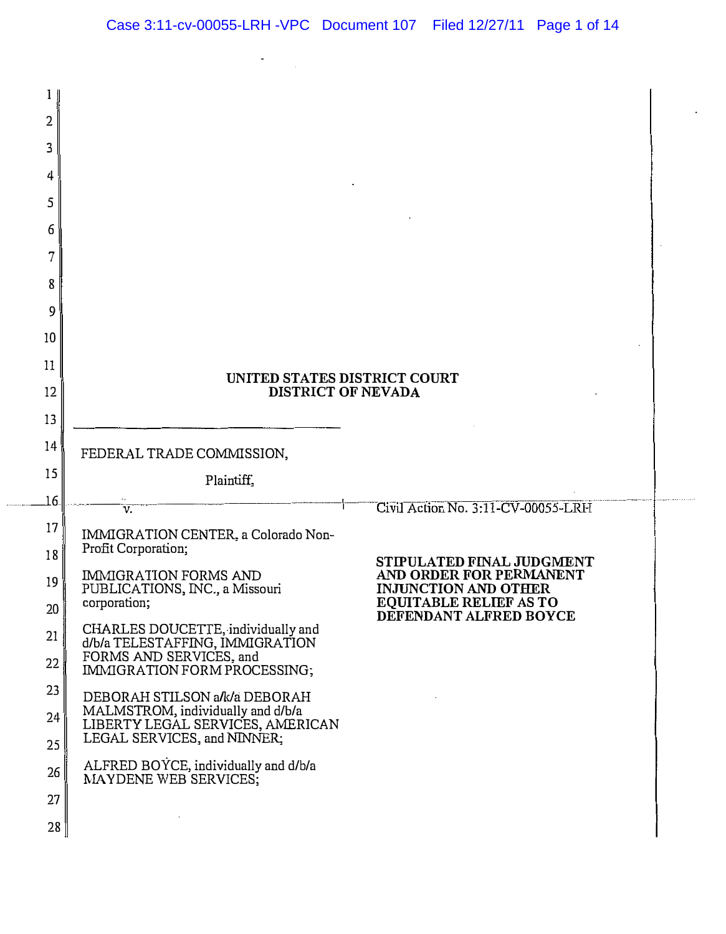| 1<br>2<br>3<br>4<br>5<br>6<br>7<br>8<br>9<br>10<br>11<br>12<br>13 | UNITED STATES DISTRICT COURT<br><b>DISTRICT OF NEVADA</b>             |                                                         |
|-------------------------------------------------------------------|-----------------------------------------------------------------------|---------------------------------------------------------|
| 14                                                                | FEDERAL TRADE COMMISSION,                                             |                                                         |
| 15                                                                | Plaintiff.                                                            |                                                         |
| 16.                                                               | $\overline{\mathbf{v}}$                                               | Civil Action No. 3:11-CV-00055-LRH                      |
| 17                                                                | IMMIGRATION CENTER, a Colorado Non-                                   |                                                         |
| 18                                                                | Profit Corporation;                                                   | STIPULATED FINAL JUDGMENT                               |
| 19                                                                | IMMIGRATION FORMS AND<br>PUBLICATIONS, INC., a Missouri               | AND ORDER FOR PERMANENT<br><b>INJUNCTION AND OTHER</b>  |
| 20                                                                | corporation;                                                          | <b>EQUITABLE RELIEF AS TO</b><br>DEFENDANT ALFRED BOYCE |
| 21                                                                | CHARLES DOUCETTE, individually and<br>d/b/a TELESTAFFING, IMMIGRATION |                                                         |
| 22                                                                | FORMS AND SERVICES, and<br>IMMIGRATION FORM PROCESSING;               |                                                         |
| 23                                                                | DEBORAH STILSON a/k/a DEBORAH                                         |                                                         |
| 24                                                                | MALMSTROM, individually and d/b/a<br>LIBERTY LEGAL SERVICES, AMERICAN |                                                         |
| 25                                                                | LEGAL SERVICES, and NINNER;                                           |                                                         |
| 26                                                                | ALFRED BOYCE, individually and d/b/a<br>MAYDENE WEB SERVICES;         |                                                         |
| 27                                                                |                                                                       |                                                         |
| 28                                                                |                                                                       |                                                         |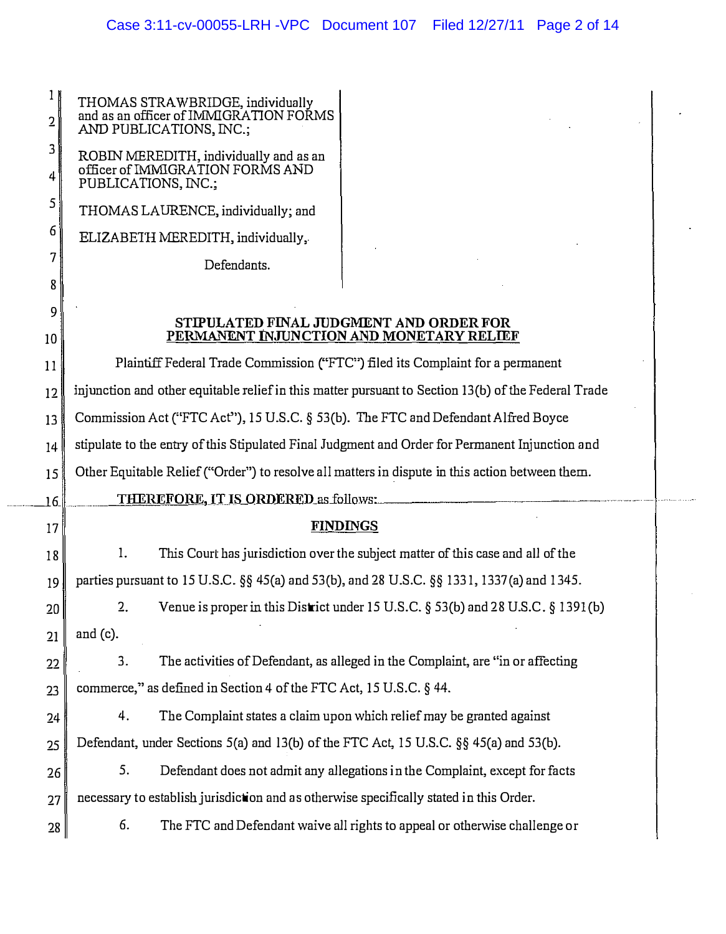$\frac{1}{\pi}$ 

THOMAS STRAWBRIDGE, individually

| 2       | and as an officer of IMMIGRATION FORMS<br>AND PUBLICATIONS, INC.;                                   |                                                                                  |  |
|---------|-----------------------------------------------------------------------------------------------------|----------------------------------------------------------------------------------|--|
| 3       | ROBIN MEREDITH, individually and as an                                                              |                                                                                  |  |
| 4       | officer of IMMIGRATION FORMS AND<br>PUBLICATIONS, INC.;                                             |                                                                                  |  |
| 5       | THOMAS LAURENCE, individually; and                                                                  |                                                                                  |  |
| 6       | ELIZABETH MEREDITH, individually,                                                                   |                                                                                  |  |
| 7       | Defendants.                                                                                         |                                                                                  |  |
| 8       |                                                                                                     |                                                                                  |  |
| 9<br>10 | STIPULATED FINAL JUDGMENT AND ORDER FOR<br>PERMANENT INJUNCTION AND MONETARY RELIEF                 |                                                                                  |  |
| 11      | Plaintiff Federal Trade Commission ("FTC") filed its Complaint for a permanent                      |                                                                                  |  |
| 12      | injunction and other equitable relief in this matter pursuant to Section 13(b) of the Federal Trade |                                                                                  |  |
| 13      | Commission Act ("FTC Act"), 15 U.S.C. § 53(b). The FTC and Defendant Alfred Boyce                   |                                                                                  |  |
| 14      | stipulate to the entry of this Stipulated Final Judgment and Order for Permanent Injunction and     |                                                                                  |  |
| 15      | Other Equitable Relief ("Order") to resolve all matters in dispute in this action between them.     |                                                                                  |  |
|         |                                                                                                     |                                                                                  |  |
| 16      | <b>THEREFORE, IT IS ORDERED as follows:</b>                                                         |                                                                                  |  |
| 17      | <b>FINDINGS</b>                                                                                     |                                                                                  |  |
| 18      | 1.                                                                                                  | This Court has jurisdiction over the subject matter of this case and all of the  |  |
| 19      | parties pursuant to 15 U.S.C. §§ 45(a) and 53(b), and 28 U.S.C. §§ 1331, 1337(a) and 1345.          |                                                                                  |  |
| 20      | 2.                                                                                                  | Venue is proper in this District under 15 U.S.C. § 53(b) and 28 U.S.C. § 1391(b) |  |
| 21      | and $(c)$ .                                                                                         |                                                                                  |  |
| 22      | 3.                                                                                                  | The activities of Defendant, as alleged in the Complaint, are "in or affecting   |  |
| 23      | commerce," as defined in Section 4 of the FTC Act, 15 U.S.C. § 44.                                  |                                                                                  |  |
| 24      | The Complaint states a claim upon which relief may be granted against<br>4.                         |                                                                                  |  |
| 25      | Defendant, under Sections 5(a) and 13(b) of the FTC Act, 15 U.S.C. §§ 45(a) and 53(b).              |                                                                                  |  |
| 26      | 5.                                                                                                  | Defendant does not admit any allegations in the Complaint, except for facts      |  |
| 27      | necessary to establish jurisdiction and as otherwise specifically stated in this Order.             |                                                                                  |  |
| 28      | 6.                                                                                                  | The FTC and Defendant waive all rights to appeal or otherwise challenge or       |  |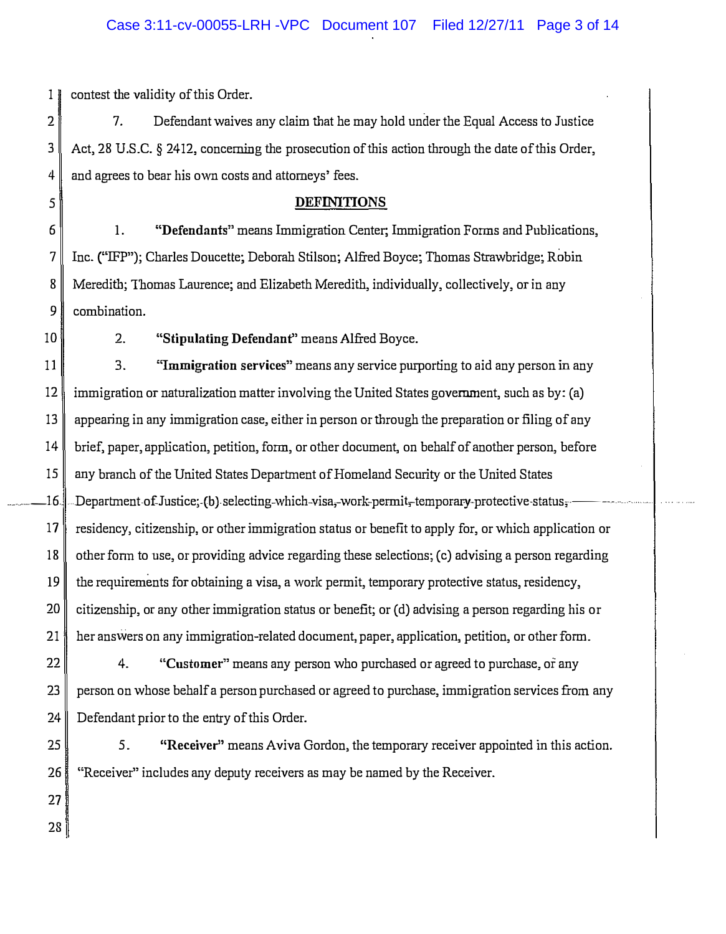1 contest the validity of this Order.

2 7. Defendant waives any claim that he may hold under the Equal Access to Justice 3 Act, 28 U.S.C. § 2412, concerning the prosecution of this action through the date of this Order. 4 and agrees to bear his own costs and attorneys' fees.

## 5 DEFINITIONS

1. "Defendants" means Immigration Center; Immigration Fonns and Publications, Inc. ("IFP"); Charles Doucette; Deborah Stilson; Alfred Boyce; Thomas Strawbridge; Robin Meredith; Thomas Laurence; and Elizabeth Meredith, individually, collectively, or in any 9 combination.

10 2. "Stipulating Defendant" means Alfred Boyce.

 $11$  3. "Immigration services" means any service purporting to aid any person in any 12 immigration or naturalization matter involving the United States government, such as by: (a) 13 appearing in any immigration case, either in person or through the preparation or filing of any 14 brief, paper, application, petition, fonn, or other document, on behalf of another person, before 15 any branch of the United States Department of Homeland Security or the United States  $16$ " Department of Justice; (b) selecting-which-visa,-work-permit,-temporary-protective status,  $17$  residency, citizenship, or other immigration status or benefit to apply for, or which application or  $18 \parallel$  other form to use, or providing advice regarding these selections; (c) advising a person regarding  $19$  the requirements for obtaining a visa, a work permit, temporary protective status, residency, 20 citizenship, or any other immigration status or benefit; or (d) advising a person regarding his or 21 her answers on any immigration-related document, paper, application, petition, or other form.

 $22$   $\parallel$  4. "Customer" means any person who purchased or agreed to purchase, or any 23 person on whose behalf a person purchased or agreed to purchase, immigration services from any  $24$  Defendant prior to the entry of this Order.

25 3. "Receiver" means Aviva Gordon, the temporary receiver appointed in this action. 26 "Receiver" includes any deputy receivers as may be named by the Receiver.

27 28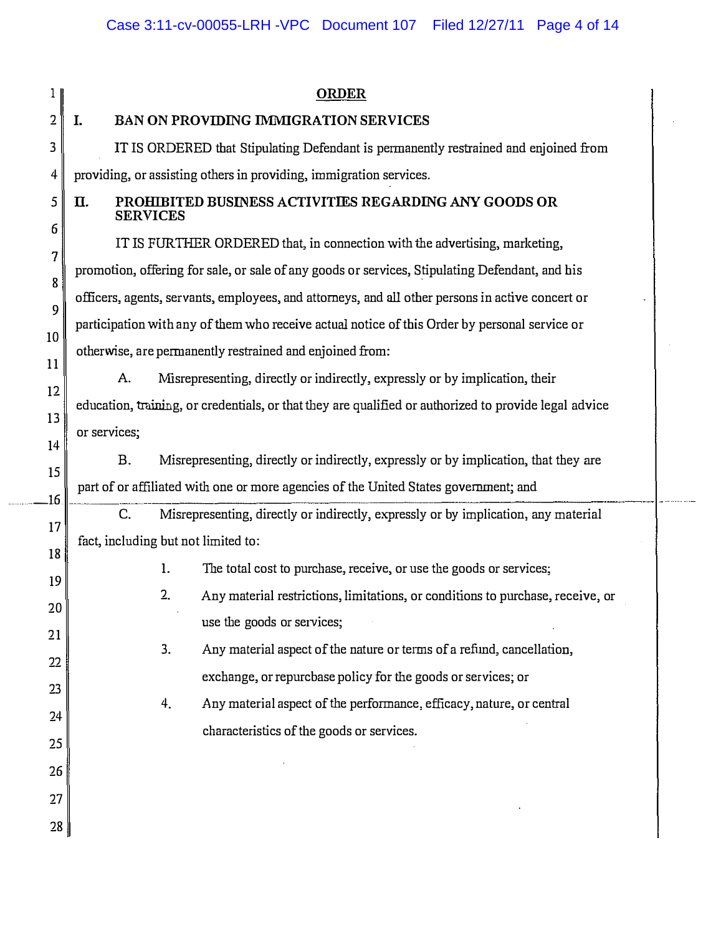28

#### 1 ORDER

## 2 I. BAN ON PROVIDING IMMIGRATION SERVICES

3 IT IS ORDERED that Stipulating Defendant is permanently restrained and enjoined from 4 providing, or assisting others in providing, immigration services.

#### $5 \parallel$  II. PROHIBITED BUSINESS ACTIVITIES REGARDING ANY GOODS OR **SERVICES**

IT IS FURTHER ORDERED that, in connection with the advertising, marketing, promotion, offering for sale, or sale of any goods or services, Stipulating Defendant, and his officers, agents, servants, employees, and attorneys, and all other persons in active concert or participation with any of them who receive actual notice of this Order by personal service or otherwise, are permanently restrained and enjoined from:

A. Misrepresenting, directly or indirectly, expressly or by implication, their education, training, or credentials, or that they are qualified or authorized to provide legal advice or services;

B. Misrepresenting, directly or indirectly, expressly or by implication, that they are part of or affiliated wiili one or more agencies of the United States government; and

C. Misrepresenting, directly or indirectly, expressly or by implication, any material fact, including but not limited to:

- 1. The total cost to purcbase, receive, or use ilie goods or services;
- 2. Any material restrictions, limitations, or conditions to purchase, receive, or use the goods or services;
- 3. Any material aspect of the nature or terms of a refund, cancellation, exchange, or repurcbase policy for the goods or services; or
- 4. Any material aspect of the performance, efficacy, nature, or central characteristics of the goods or services.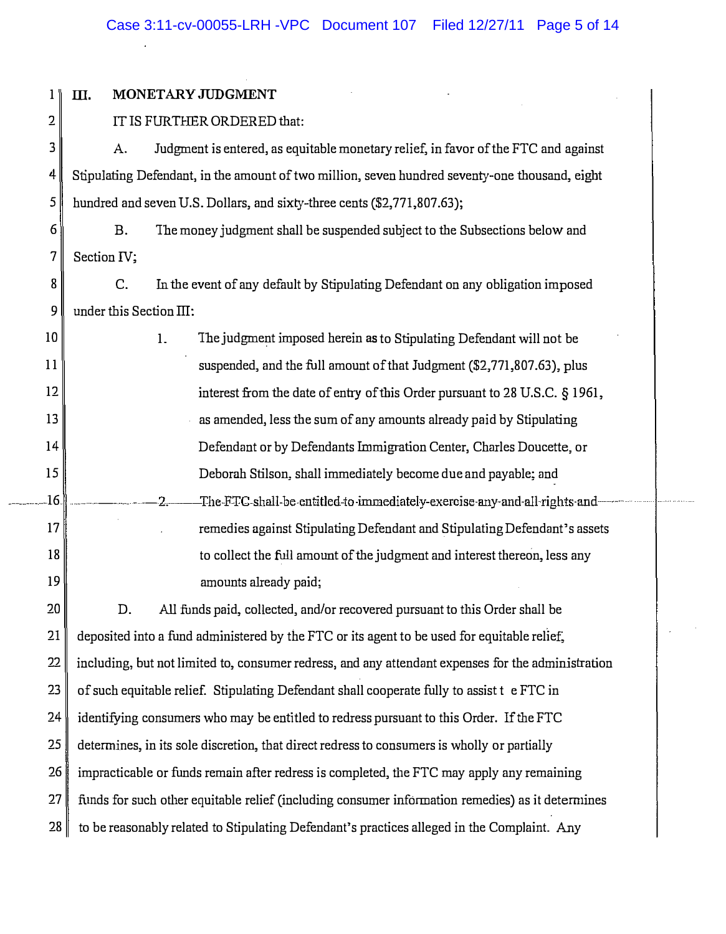$\ddot{\phantom{a}}$ 

| 1   | Ш.                                                                                                 | MONETARY JUDGMENT                                                                  |  |
|-----|----------------------------------------------------------------------------------------------------|------------------------------------------------------------------------------------|--|
| 2   | IT IS FURTHER ORDERED that:                                                                        |                                                                                    |  |
| 3   | A.                                                                                                 | Judgment is entered, as equitable monetary relief, in favor of the FTC and against |  |
| 4   | Stipulating Defendant, in the amount of two million, seven hundred seventy-one thousand, eight     |                                                                                    |  |
| 5   | hundred and seven U.S. Dollars, and sixty-three cents (\$2,771,807.63);                            |                                                                                    |  |
| 6   | <b>B.</b>                                                                                          | The money judgment shall be suspended subject to the Subsections below and         |  |
| 7   | Section <sub>IV;</sub>                                                                             |                                                                                    |  |
| 8   | C.                                                                                                 | In the event of any default by Stipulating Defendant on any obligation imposed     |  |
| 9   | under this Section III:                                                                            |                                                                                    |  |
| 10  |                                                                                                    | The judgment imposed herein as to Stipulating Defendant will not be<br>1.          |  |
| 11  |                                                                                                    | suspended, and the full amount of that Judgment (\$2,771,807.63), plus             |  |
| 12  |                                                                                                    | interest from the date of entry of this Order pursuant to 28 U.S.C. § 1961,        |  |
| 13  |                                                                                                    | as amended, less the sum of any amounts already paid by Stipulating                |  |
| 14  |                                                                                                    | Defendant or by Defendants Immigration Center, Charles Doucette, or                |  |
| 15  |                                                                                                    | Deborah Stilson, shall immediately become due and payable; and                     |  |
| .16 |                                                                                                    | The FTC-shall-be entitled to immediately exercise any and all rights and<br>2.     |  |
| 17  |                                                                                                    | remedies against Stipulating Defendant and Stipulating Defendant's assets          |  |
| 18  |                                                                                                    | to collect the full amount of the judgment and interest thereon, less any          |  |
| 19  |                                                                                                    | amounts already paid;                                                              |  |
| 20  | D.                                                                                                 | All funds paid, collected, and/or recovered pursuant to this Order shall be        |  |
| 21  | deposited into a fund administered by the FTC or its agent to be used for equitable relief,        |                                                                                    |  |
| 22  | including, but not limited to, consumer redress, and any attendant expenses for the administration |                                                                                    |  |
| 23  | of such equitable relief. Stipulating Defendant shall cooperate fully to assist t e FTC in         |                                                                                    |  |
| 24  | identifying consumers who may be entitled to redress pursuant to this Order. If the FTC            |                                                                                    |  |
| 25  | determines, in its sole discretion, that direct redress to consumers is wholly or partially        |                                                                                    |  |
| 26  | impracticable or funds remain after redress is completed, the FTC may apply any remaining          |                                                                                    |  |
| 27  | funds for such other equitable relief (including consumer information remedies) as it determines   |                                                                                    |  |
| 28  | to be reasonably related to Stipulating Defendant's practices alleged in the Complaint. Any        |                                                                                    |  |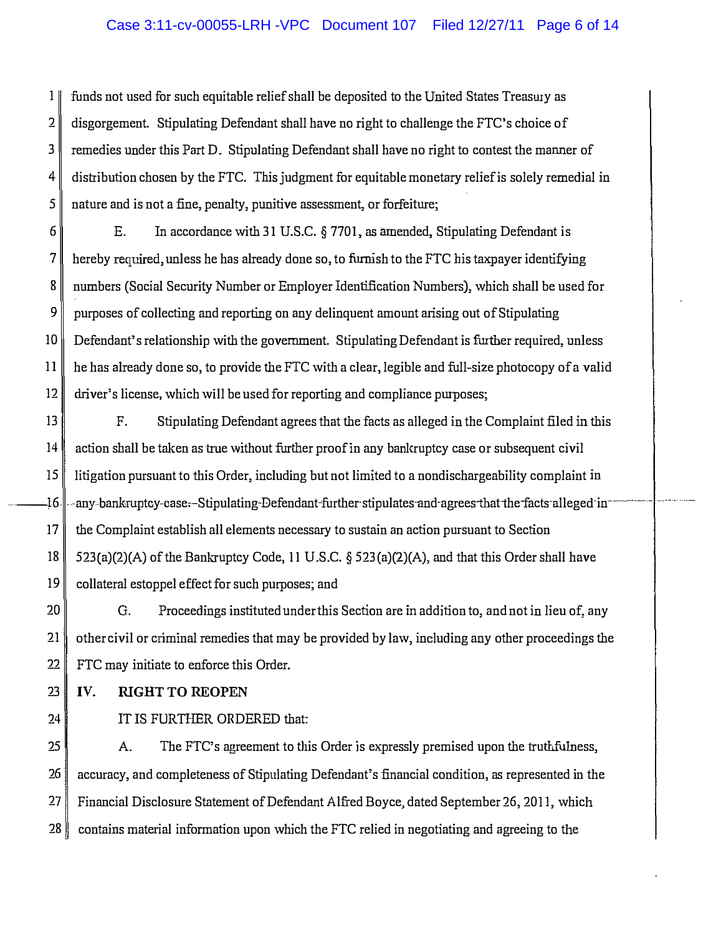## Case 3:11-cv-00055-LRH -VPC Document 107 Filed 12/27/11 Page 6 of 14

 $1 \parallel$  funds not used for such equitable relief shall be deposited to the United States Treasury as 2 disgorgement. Stipulating Defendant shall have no right to challenge the FTC's choice of 3 remedies under this Part D. Stipulating Defendant shall have no right to contest the manner of  $4 \parallel$  distribution chosen by the FTC. This judgment for equitable monetary relief is solely remedial in 5 nature and is not a fine, penalty, punitive assessment, or forfeiture;

6 E. In accordance with 31 U.S.C. § 7701, as amended, Stipulating Defendant is  $7 \parallel$  hereby required, unless he has already done so, to furnish to the FTC his taxpayer identifying 8 numbers (Social Security Number or Employer Identification Numbers), which shall be used for 9 purposes of collecting and reporting on any delinquent amount arising out of Stipulating 10 Defendant's relationship with the government. Stipulating Defendant is further required, unless 11 he has already done so, to provide the FTC with a clear, legible and full-size photocopy of a valid 12 driver's license, wlrich will be used for reporting and compliance purposes;

13 F. Stipulating Defendant agrees that the facts as alleged in the Complaint filed in this 14 action sball be taken as true without further proof in any banlcruptcy case or subsequent civil 15 litigation pursuant to this Order, including but not limited to a nondischargeability complaint in .16. ---any-bankruptcy-case.-Stipulating-Defendant-further-stipulates-and-agrees-that the facts-alleged-in--17 the Complaint establish all elements necessary to sustain an action pursuant to Section 18  $\parallel$  523(a)(2)(A) of the Bankruptcy Code, 11 U.S.C. § 523(a)(2)(A), and that this Order shall have 19 collateral estoppel effect for such purposes; and

20 G. Proceedings instituted under this Section are in addition to, and not in lieu of, any 21 other civil or criminal remedies that may be provided by law, including any other proceedings the 22 FTC may initiate to enforce this Order.

 $23$  | IV. RIGHT TO REOPEN

24

IT IS FURTHER ORDERED that:

25 A. The FTC's agreement to this Order is expressly premised upon the truthfulness, 26 accuracy, and completeness of Stipulating Defendant's financial condition, as represented in the 27 Financial Disclosure Statement of Defendant Alfred Boyce, dated September 26, 2011, which 28 contains material information upon which the FTC relied in negotiating and agreeing to the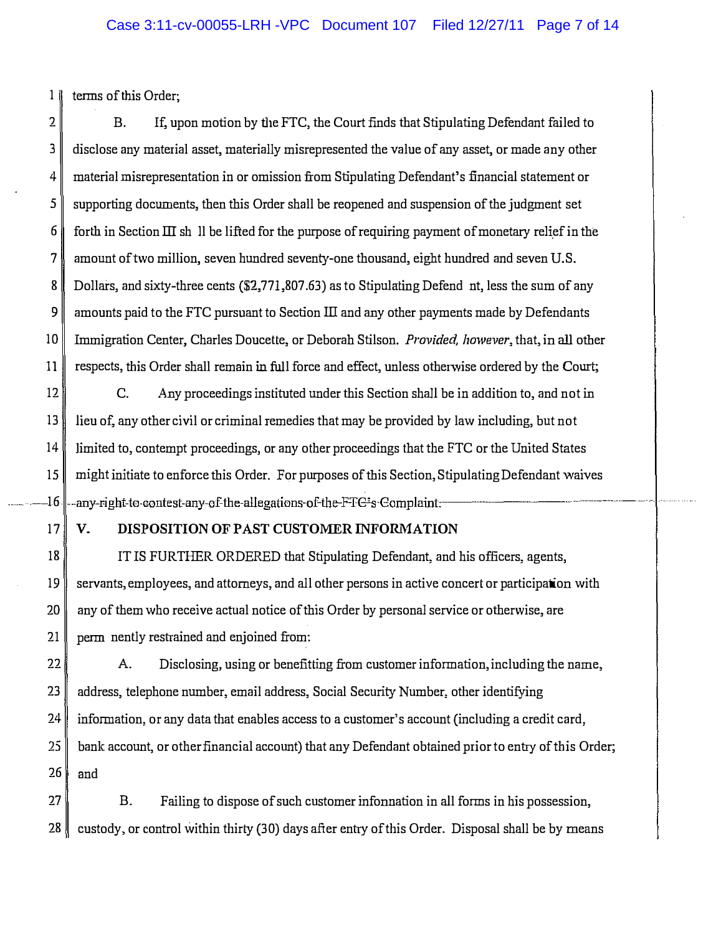1 terms of this Order;

2 B. If, upon motion by the FTC, the Court finds that Stipulating Defendant failed to 3 disclose any material asset, materially misrepresented the value of any asset, or made any other 4 material misrepresentation in or omission from Stipulating Defendant's financial statement or 5 supporting documents, then this Order shall be reopened and suspension of the judgment set  $6 \parallel$  forth in Section III sh II be lifted for the purpose of requiring payment of monetary relief in the 7 amount of two million, seven hundred seventy-one thousand, eight hundred and seven U.S. 8 Dollars, and sixty-three cents (\$2,771,807.63) as to Stipulating Defend nt, less the sum of any 9 amounts paid to the FTC pursuant to Section III and any other payments made by Defendants 10 Immigration Center, Charles Doucette, or Deborah Stilson, *Provided, however*, that, in all other 11 respects, this Order shall remain in full force and effect, unless otherwise ordered by the Court;

12 C. Any proceedings instituted under this Section shall be in addition to, and not in 13 lieu of, any other civil or criminal remedies that may be provided by law including, but not 14 limited to, contempt proceedings, or any other proceedings that the FTC or the United States 15 might initiate to enforce this Order. For purposes of this Section, Stipulating Defendant waives ----16 ---any-right-to-contest-any-ofthe-allega ions-of-the-FFG's-Gomplaint-\_ -------- -----------------

## 17 V. DISPOSITION OF PAST CUSTOMER INFORMATION

18 IT IS FURTHER ORDERED that Stipulating Defendant, and his officers, agents, 19 servants, employees, and attorneys, and all other persons in active concert or participation with  $20$  any of them who receive actual notice of this Order by personal service or otherwise, are 21 perm nently restrained and enjoined from:

22 A. Disclosing, using or benefitting from customer infonnation, including the name, 23 address, telephone number, email address, Social Security Number, other identifying 24 infonnation, or any data that enables access to a customer's account (including a credit card, bank account, or other financial account) that any Defendant obtained prior to entry of this Order;  $25$ 26 and

27 B. Failing to dispose of such customer infonnation in all fonns in his possession, 28 custody, or control within thirty (30) days after entry of this Order. Disposal shall be by means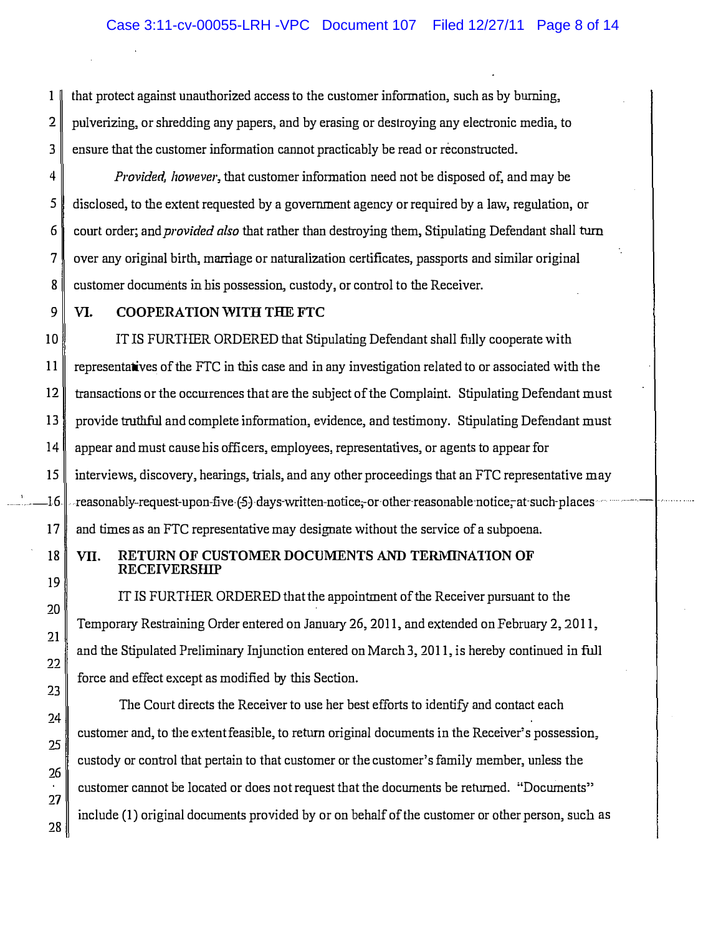1 that protect against unauthorized access to the customer information, such as by burning, 2 pulverizing, or shredding any papers, and by erasing or destroying any electronic media, to 3 ensure that the customer information cannot practicably be read or reconstructed.

4 Provided, however, that customer information need not be disposed of, and may be 5 disclosed, to the extent requested by a government agency or required by a law, regulation, or 6 court order; and *provided also* that rather than destroying them, Stipulating Defendant shall turn 7 over any original birth, marriage or naturalizatiou certificates, passports and similar original 8 customer documents in his possession, custody, or control to the Receiver.

9 VI. COOPERATION WITH THE FTC

10 IT IS FURTHER ORDERED that Stipulating Defendant shall fully cooperate with 11 representatives of the FTC in this case and in any investigation related to or associated with the 12 transactions or the occurrences that are the subject of the Complaint. Stipulating Defendant must 13 provide truthful and complete information, evidence, and testimony. Stipulating Defendant must 14 appear and must cause his officers, employees, representatives, or agents to appear for 15 interviews, discovery, hearings, trials, and any other proceedings that an FTC representative may 16 . reasonably-request-upon-five (5) days-written-notice, or-other-reasonable-notice, at-such-places 17 and times as an FTC representative may designate without the service of a subpoena.

## 18 VII. RETURN OF CUSTOMER DOCUMENTS AND TERMINATION OF RECEIVERSHIP

IT IS FURTHER ORDERED that the appointment of the Receiver pursuant to the Temporary Restraining Order entered on January 26, 2011, and extended on February 2, 2011, and the Stipulated Preliminary Injunction entered on March 3, 2011, is hereby continued in fuJI force and effect except as modified by this Section.

The Court directs the Receiver to use her best efforts to identify and contact each customer and, to the extent feasible, to return original documents in the Receiver's possession, custody or control that pertain to that customer or the customer's family member, unless the customer cannot be located or does not request that the documents be returned. "Documents" include (1) original documents provided by or on behalf of the customer or other person, such as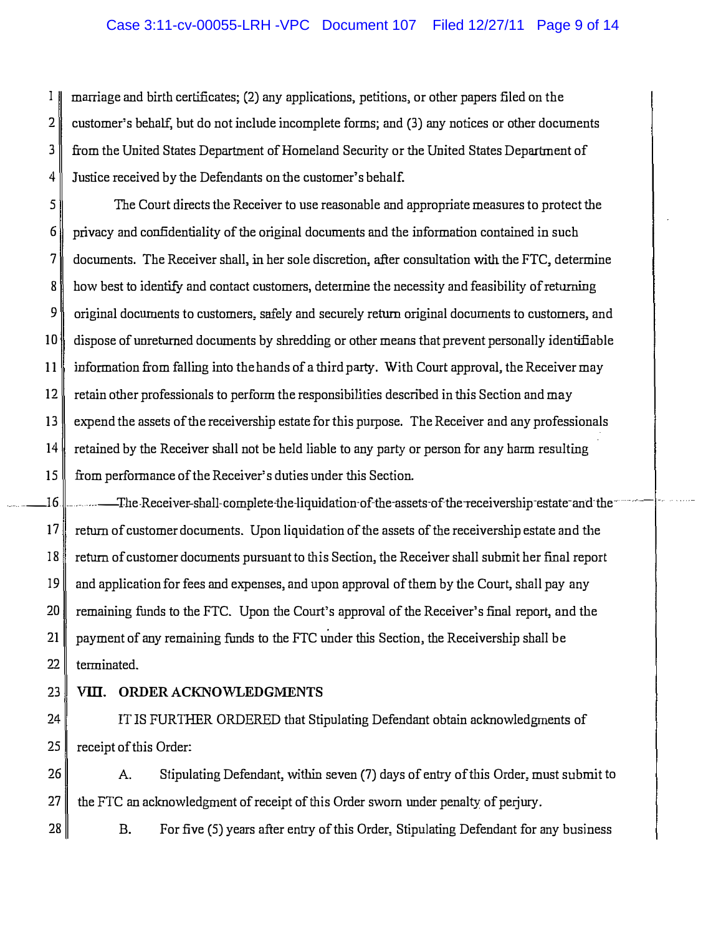$1 \parallel$  marriage and birth certificates; (2) any applications, petitions, or other papers filed on the 2 customer's behalf, but do not include incomplete forms; and (3) any notices or other documents 3 from the United States Department of Homeland Security or the United States Department of 4 Justice received by the Defendants on the customer's behalf.

5 The Court directs the Receiver to use reasonable and appropriate measures to protect the  $6 \parallel$  privacy and confidentiality of the original documents and the information contained in such 7 documents. The Receiver shall, in her sole discretion, after consultation with the FTC, determine 8 how best to identifY and contact customers, determine the necessity and feasibility of returning  $9\parallel$  original documents to customers, safely and securely return original documents to customers, and 10 dispose of unreturned documents by shredding or other means that prevent personally identifiable 11 information from falling into the hands of a third party. With Court approval, the Receiver may  $12 \parallel$  retain other professionals to perform the responsibilities described in this Section and may 13 expend the assets of the receivership estate for this purpose. The Receiver and any professionals 14 retained by the Receiver shall not be held liable to any party or person for any harm resulting 15 from performance of the Receiver's duties under this Section.

 $16.$ .. The Receiver-shall-complete-the-liquidation-of-the-assets-of-the-receivership-estate-and-the ................ 17 return of customer documents. Upon liquidation of the assets of the receivership estate and the 18 return of customer documents pursuant to this Section, the Receiver shall submit her final report  $19$  and application for fees and expenses, and upon approval of them by the Court, shall pay any 20 remaining funds to the FTC. Upon the Court's approval of the Receiver's final report, and the 21 payment of any remaining funds to the FTC under this Section, the Receivership shall be  $22$  terminated.

.. .

# 23 VITI. ORDER ACKNOWLEDGMENTS

24 IT IS FURTHER ORDERED that Stipulating Defendant obtain acknowledgments of 25 receipt of this Order:

26 A. Stipulating Defendant, within seven (7) days of entry of this Order, must submit to  $27 \parallel$  the FTC an acknowledgment of receipt of this Order sworn under penalty of perjury.

 $28$  B. For five (5) years after entry of this Order, Stipulating Defendant for any business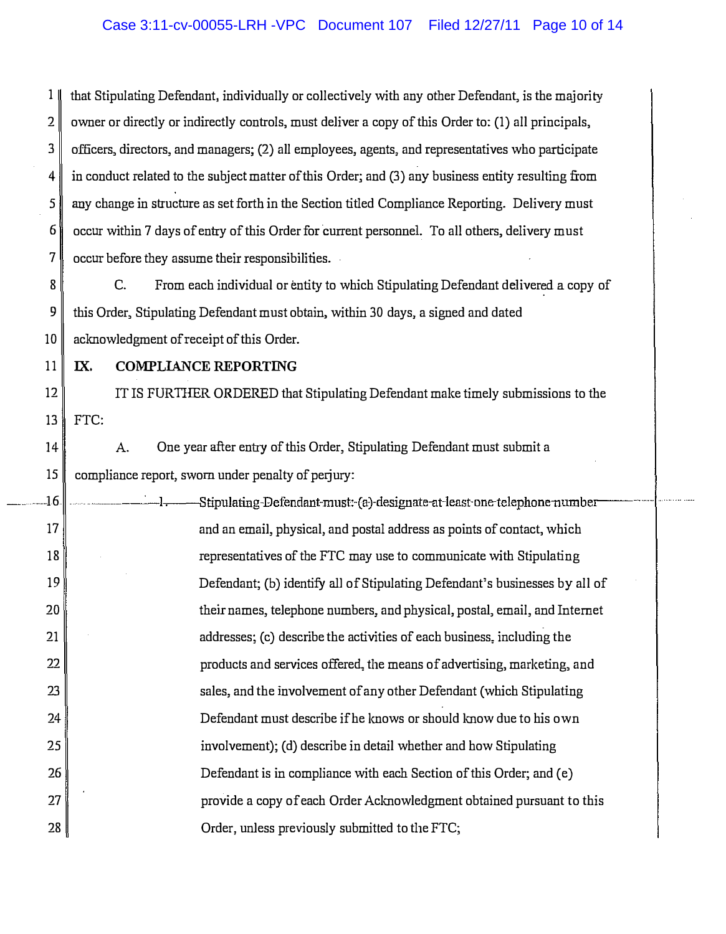1 that Stipulating Defendant, individually or collectively with any other Defeodant, is the majority 2 owner or directly or indirectly controls, must deliver a copy of this Order to: (1) all principals, 3 officers, directors, and managers; (2) all employees, agents, and representatives who participate 4 in conduct related to the subject matter of this Order; and (3) any business entity resulting from 5 any change in structure as set forth in the Section titled Compliance Reporting. Delivery must  $6$  occur within 7 days of entry of this Order for current personnel. To all others, delivery must 7 occur before they assume their responsibilities.

 $8$  C. From each individual or entity to which Stipulating Defendant delivered a copy of 9 this Order, Stipulating Defendant must obtain, within 30 days, a signed and dated 10 acknowledgment of receipt of this Order.

11 | IX. COMPLIANCE REPORTING

12 TE IS FURTHER ORDERED that Stipulating Defendant make timely submissions to the 13 FTC:

 $14$  A. One year after entry of this Order, Stipulating Defendant must submit a  $15$  compliance report, sworn under penalty of perjury:

.... 16 ...... ----. -I. Stipulating·Defendant-must:·(a}designate-at·least·one-telephone-number---··· 17 and an email, physical, and postal address as points of contact, which 18 19 20 21 22 23 24 25 26 27 28 representatives of the FTC may use to communicate with Stipulating Defendant; (b) identify all of Stipulating Defendant's businesses by all of their names, telephone numbers, and physical, postal, email, and Internet addresses; (c) describe the activities of each business, including the products and services offered., tile means of advertising, marketing, and sales, and the involvement of any other Defendant (which Stipulating Defendant must describe if he knows or should Imow due to his own involvement); (d) describe in detail whether and how Stipulating Defendant is in compliance with each Section of this Order; and (e) provide a copy of each Order Aclmowledgment obtained pursuant to this Order, unless previously submitted to the FTC;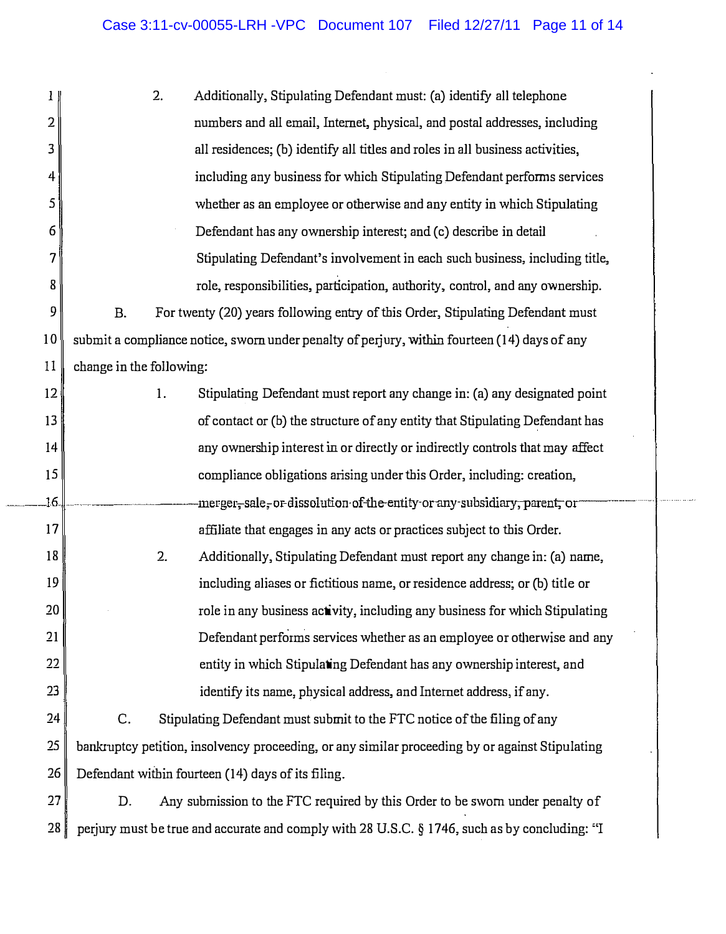| 1 <sub>1</sub> |                                                                                               | 2. | Additionally, Stipulating Defendant must: (a) identify all telephone                            |
|----------------|-----------------------------------------------------------------------------------------------|----|-------------------------------------------------------------------------------------------------|
| 2              |                                                                                               |    | numbers and all email, Internet, physical, and postal addresses, including                      |
| 3              |                                                                                               |    | all residences; (b) identify all titles and roles in all business activities,                   |
| 4              |                                                                                               |    | including any business for which Stipulating Defendant performs services                        |
| 5              |                                                                                               |    | whether as an employee or otherwise and any entity in which Stipulating                         |
| 6              |                                                                                               |    | Defendant has any ownership interest; and (c) describe in detail                                |
| 7              |                                                                                               |    | Stipulating Defendant's involvement in each such business, including title,                     |
| 8              |                                                                                               |    | role, responsibilities, participation, authority, control, and any ownership.                   |
| 9              | <b>B.</b>                                                                                     |    | For twenty (20) years following entry of this Order, Stipulating Defendant must                 |
| 10             |                                                                                               |    | submit a compliance notice, sworn under penalty of perjury, within fourteen (14) days of any    |
| 11             | change in the following:                                                                      |    |                                                                                                 |
| 12             |                                                                                               | 1. | Stipulating Defendant must report any change in: (a) any designated point                       |
| 13             |                                                                                               |    | of contact or (b) the structure of any entity that Stipulating Defendant has                    |
| 14             |                                                                                               |    | any ownership interest in or directly or indirectly controls that may affect                    |
| 15             |                                                                                               |    | compliance obligations arising under this Order, including: creation,                           |
| 16             |                                                                                               |    | -merger,-sale,-or-dissolution-of-the-entity-or-any-subsidiary, parent, or-                      |
| 17             |                                                                                               |    | affiliate that engages in any acts or practices subject to this Order.                          |
| 18             |                                                                                               | 2. | Additionally, Stipulating Defendant must report any change in: (a) name,                        |
| 19             |                                                                                               |    | including aliases or fictitious name, or residence address; or (b) title or                     |
| 20             |                                                                                               |    | role in any business activity, including any business for which Stipulating                     |
| 21             |                                                                                               |    | Defendant performs services whether as an employee or otherwise and any                         |
| 22             |                                                                                               |    | entity in which Stipulating Defendant has any ownership interest, and                           |
| 23             |                                                                                               |    | identify its name, physical address, and Internet address, if any.                              |
| 24             | C.                                                                                            |    | Stipulating Defendant must submit to the FTC notice of the filing of any                        |
| 25             |                                                                                               |    | bankruptcy petition, insolvency proceeding, or any similar proceeding by or against Stipulating |
| 26             | Defendant within fourteen (14) days of its filing.                                            |    |                                                                                                 |
| 27             | D.                                                                                            |    | Any submission to the FTC required by this Order to be sworn under penalty of                   |
| 28             | perjury must be true and accurate and comply with 28 U.S.C. § 1746, such as by concluding: "I |    |                                                                                                 |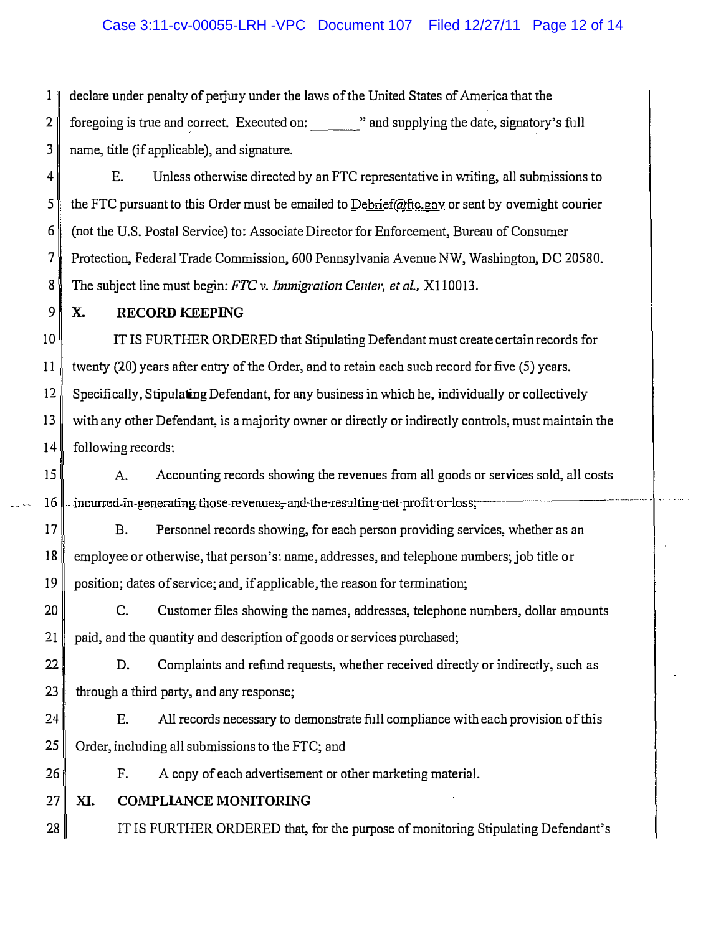# Case 3:11-cv-00055-LRH -VPC Document 107 Filed 12/27/11 Page 12 of 14

 $\mathbb{1}$  declare under penalty of periury under the laws of the United States of America that the 2 foregoing is true and correct. Executed on: " and supplying the date, signatory's full 3 name, title (if applicable), and signature.

 $\|A\|$  E. Unless otherwise directed by an FTC representative in writing, all submissions to 5 the FTC pursuant to this Order must be emailed to Debrief@ftc.gov or sent by ovemight courier 6 (not the U.S. Postal Service) to: Associate Director for Enforcement, Bureau of Consumer 7 Protection, Federal Trade Commission, 600 Pennsylvania Avenue NW, Washington, DC 20580. 8 The subject line must begin: FTC v. Immigration Center, et al., X110013.

#### 9 X. RECORD KEEPING

IT IS FURTHER ORDERED that Stipulating Defendant must create certain records for twenty (20) years after entry of the Order, and to retain each such record for five (5) years. Specifically, Stipulating Defendant, for any business in which he, individually or collectively with any other Defendant, is a majority owner or directly or indirectly controls, must maintain the following records:

 $15$  A. Accounting records showing the revenues from all goods or services sold, all costs  $16$ . incurred-in-generating-those-revenues;-and-the-resulting-net-profit-or-loss; .

17 B. Personnel records showing, for each person providing services, whether as an 18 employee or otherwise, that person's: name, addresses, and telephone numbers; job title or  $19 \parallel$  position; dates of service; and, if applicable, the reason for termination;

20 C. Customer files showing the names, addresses, telephone numbers, dollar amounts 21 paid, and the quantity and description of goods or services purchased;

22 D. Complaints and refund requests, whether received directly or indirectly, such as  $23$  through a third party, and any response;

 $24$  E. All records necessary to demonstrate full compliance with each provision of this  $25$  Order, including all submissions to the FTC; and

26 F. A copy of each advertisement or other marketing material.

27 XI. COMPLIANCE MONITORING

28 **IT IS FURTHER ORDERED** that, for the purpose of monitoring Stipulating Defendant's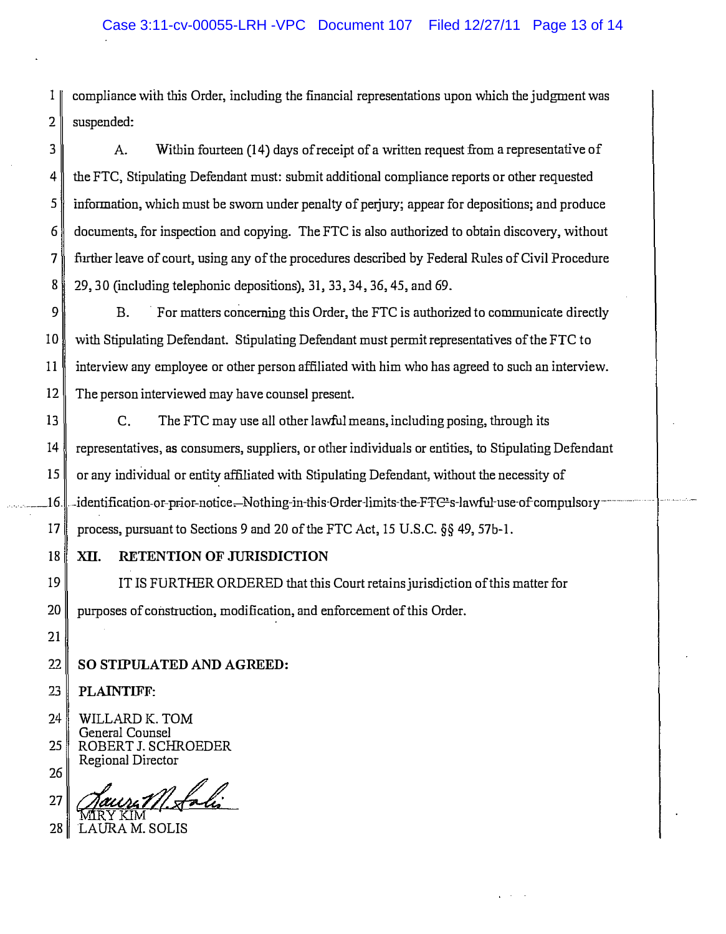1 compliance with this Order, including the fmancial representations upon which the judgment was  $2 \parallel$  suspended:

3 A. Within fourteen (14) days of receipt of a written request from a representative of 4 the FTC, Stipulating Defendant must: submit additional compliance reports or other requested  $5$  information, which must be sworn under penalty of perjury; appear for depositions; and produce 6 documents, for inspection and copying. The FTC is also authorized to obtain discovery, without 7 further leave of court, using any of the procedures described by Federal Rules of Civil Procedure 8 29, 30 (including telephonic depositions), 31, 33, 34, 36, 45, and 69.

 $9 \parallel$  B. For matters concerning this Order, the FTC is authorized to communicate directly 10 with Stipulating Defendant. Stipulating Defendant must permit representatives of the FTC to 11 interview any employee or other person affiliated with him who has agreed to such an interview. 12 The person interviewed may have counsel present.

13 C. The FTC may use all other lawful means, including posing, through its 14 representatives, as consumers, suppliers, or other individuals or entities, to Stipulating Defendant 15 or any individual or entity affiliated with Stipulating Defendant, without the necessity of .16.  $\ldots$  identification-or-prior-notice. Nothing-in-this-Order-limits-the-FTC s-lawful-use-of compulsory-17 process, pursuant to Sections 9 and 20 of the FTC Act, 15 U.S.C. §§ 49, 57b-I.

## 18 XII. RETENTION OF JURISDICTION

19 IT IS FURTHER ORDERED that this Court retains jurisdiction of this matter for 20 purposes of construction, modification, and enforcement of this Order.

22 SO STIPULATED AND AGREED:

23 PLAINTIFF:

21

24 25 WILLARD K. TOM General Counsel ROBERT J. SCHROEDER Regional Director

26  $27\gamma$  Jaune M. Loli

28 LAURA M. SOLIS